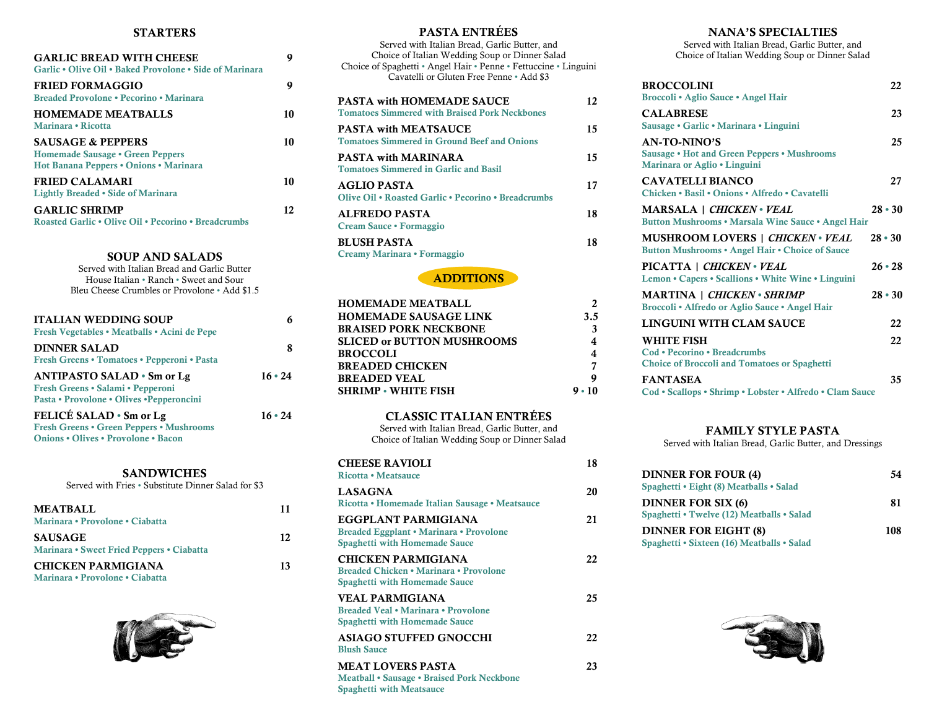#### STARTERS

| <b>GARLIC BREAD WITH CHEESE</b><br>Garlic . Olive Oil . Baked Provolone . Side of Marinara | 9             |
|--------------------------------------------------------------------------------------------|---------------|
|                                                                                            |               |
| <b>FRIED FORMAGGIO</b>                                                                     | 9             |
| Breaded Provolone • Pecorino • Marinara                                                    |               |
| <b>HOMEMADE MEATBALLS</b>                                                                  | 10            |
| Marinara . Ricotta                                                                         |               |
| <b>SAUSAGE &amp; PEPPERS</b>                                                               | 10            |
| Homemade Sausage • Green Peppers                                                           |               |
| Hot Banana Peppers • Onions • Marinara                                                     |               |
| <b>FRIED CALAMARI</b>                                                                      | 10            |
| Lightly Breaded • Side of Marinara                                                         |               |
| <b>GARLIC SHRIMP</b>                                                                       | 12            |
| Roasted Garlic • Olive Oil • Pecorino • Breadcrumbs                                        |               |
|                                                                                            |               |
|                                                                                            |               |
| <b>SOUP AND SALADS</b>                                                                     |               |
| Served with Italian Bread and Garlic Butter                                                |               |
| House Italian • Ranch • Sweet and Sour                                                     |               |
| Bleu Cheese Crumbles or Provolone • Add \$1.5                                              |               |
|                                                                                            |               |
| <b>ITALIAN WEDDING SOUP</b>                                                                | 6             |
| Fresh Vegetables • Meatballs • Acini de Pepe                                               |               |
| <b>DINNER SALAD</b>                                                                        | 8             |
| Fresh Greens • Tomatoes • Pepperoni • Pasta                                                |               |
| <b>ANTIPASTO SALAD • Sm or Lg</b>                                                          | $16 \cdot 24$ |
| Fresh Greens • Salami • Pepperoni                                                          |               |
| Pasta • Provolone • Olives • Pepperoncini                                                  |               |
| FELICÉ SALAD • Sm or Lg                                                                    | $16 \cdot 24$ |
| <b>Fresh Greens • Green Peppers • Mushrooms</b>                                            |               |
| <b>Onions • Olives • Provolone • Bacon</b>                                                 |               |
|                                                                                            |               |
| <b>SANDWICHES</b>                                                                          |               |
| Served with Fries · Substitute Dinner Salad for \$3                                        |               |
|                                                                                            |               |

| ocived with Lifes - oubstitute Dillifel balau for DJ         |    |
|--------------------------------------------------------------|----|
| <b>MEATBALL</b><br>Marinara • Provolone • Ciabatta           | 11 |
| <b>SAUSAGE</b><br>Marinara • Sweet Fried Peppers • Ciabatta  | 12 |
| <b>CHICKEN PARMIGIANA</b><br>Marinara • Provolone • Ciabatta | 13 |



| <b>PASTA ENTRÉES</b>                                                                                               |          |
|--------------------------------------------------------------------------------------------------------------------|----------|
| Served with Italian Bread, Garlic Butter, and                                                                      |          |
| Choice of Italian Wedding Soup or Dinner Salad<br>Choice of Spaghetti • Angel Hair • Penne • Fettuccine • Linguini |          |
| Cavatelli or Gluten Free Penne • Add \$3                                                                           |          |
|                                                                                                                    |          |
| <b>PASTA with HOMEMADE SAUCE</b>                                                                                   | 12       |
| <b>Tomatoes Simmered with Braised Pork Neckbones</b>                                                               |          |
| <b>PASTA with MEATSAUCE</b>                                                                                        | 15       |
| <b>Tomatoes Simmered in Ground Beef and Onions</b>                                                                 |          |
| <b>PASTA with MARINARA</b>                                                                                         | 15       |
| <b>Tomatoes Simmered in Garlic and Basil</b>                                                                       |          |
| <b>AGLIO PASTA</b>                                                                                                 | 17       |
| Olive Oil . Roasted Garlic . Pecorino . Breadcrumbs                                                                |          |
| <b>ALFREDO PASTA</b>                                                                                               | 18       |
| Cream Sauce · Formaggio                                                                                            |          |
| <b>BLUSH PASTA</b>                                                                                                 | 18       |
| Creamy Marinara · Formaggio                                                                                        |          |
| <b>ADDITIONS</b>                                                                                                   |          |
|                                                                                                                    |          |
| <b>HOMEMADE MEATBALL</b>                                                                                           | 2        |
| <b>HOMEMADE SAUSAGE LINK</b>                                                                                       | 3.5      |
| <b>BRAISED PORK NECKBONE</b>                                                                                       | 3        |
| <b>SLICED or BUTTON MUSHROOMS</b>                                                                                  | 4        |
| <b>BROCCOLI</b>                                                                                                    | 4        |
| <b>BREADED CHICKEN</b><br><b>BREADED VEAL</b>                                                                      | 7<br>9   |
| <b>SHRIMP - WHITE FISH</b>                                                                                         | $9 - 10$ |
|                                                                                                                    |          |
| <b>CLASSIC ITALIAN ENTRÉES</b>                                                                                     |          |
| Served with Italian Bread, Garlic Butter, and                                                                      |          |
| Choice of Italian Wedding Soup or Dinner Salad                                                                     |          |
| <b>CHEESE RAVIOLI</b>                                                                                              | 18       |
| Ricotta • Meatsauce                                                                                                |          |
| <b>LASAGNA</b>                                                                                                     | 20       |
| Ricotta • Homemade Italian Sausage • Meatsauce                                                                     |          |
| EGGPLANT PARMIGIANA                                                                                                | 21       |
| Breaded Eggplant • Marinara • Provolone                                                                            |          |
| <b>Spaghetti with Homemade Sauce</b>                                                                               |          |
| <b>CHICKEN PARMIGIANA</b>                                                                                          | 22       |
| Breaded Chicken • Marinara • Provolone                                                                             |          |
| <b>Spaghetti with Homemade Sauce</b>                                                                               |          |
| <b>VEAL PARMIGIANA</b>                                                                                             | 25       |
| Breaded Veal • Marinara • Provolone<br><b>Spaghetti with Homemade Sauce</b>                                        |          |
|                                                                                                                    |          |
| <b>ASIAGO STUFFED GNOCCHI</b><br><b>Blush Sauce</b>                                                                | 22       |
| <b>MEAT LOVERS PASTA</b>                                                                                           | 23       |
|                                                                                                                    |          |

Meatball • Sausage • Braised Pork Neckbone

Spaghetti with Meatsauce

### NANA'S SPECIALTIES

Served with Italian Bread, Garlic Butter, and Choice of Italian Wedding Soup or Dinner Salad

| <b>BROCCOLINI</b><br>Broccoli • Aglio Sauce • Angel Hair                                           | 22            |
|----------------------------------------------------------------------------------------------------|---------------|
| <b>CALABRESE</b><br>Sausage • Garlic • Marinara • Linguini                                         | 23            |
| AN-TO-NINO'S<br><b>Sausage • Hot and Green Peppers • Mushrooms</b><br>Marinara or Aglio • Linguini | 25            |
| CAVATELLI BIANCO<br>Chicken • Basil • Onions • Alfredo • Cavatelli                                 | 27            |
| <b>MARSALA</b>   CHICKEN · VEAL<br>Button Mushrooms . Marsala Wine Sauce . Angel Hair              | $28 - 30$     |
| <b>MUSHROOM LOVERS   CHICKEN • VEAL</b><br>Button Mushrooms . Angel Hair . Choice of Sauce         | $28 \cdot 30$ |
| PICATTA   CHICKEN • VEAL<br>Lemon • Capers • Scallions • White Wine • Linguini                     | $26 \cdot 28$ |
| <b>MARTINA</b>   <i>CHICKEN</i> • SHRIMP<br>Broccoli • Alfredo or Aglio Sauce • Angel Hair         | $28 \cdot 30$ |
| LINGUINI WITH CLAM SAUCE                                                                           | 22            |
| WHITE FISH<br>Cod • Pecorino • Breadcrumbs<br><b>Choice of Broccoli and Tomatoes or Spaghetti</b>  | 22            |
| <b>FANTASEA</b><br>Cod · Scallops · Shrimp · Lobster · Alfredo · Clam Sauce                        | 35            |

### FAMILY STYLE PASTA

Served with Italian Bread, Garlic Butter, and Dressings

| <b>DINNER FOR FOUR (4)</b><br>Spaghetti • Eight (8) Meatballs • Salad     | 54  |
|---------------------------------------------------------------------------|-----|
| <b>DINNER FOR SIX (6)</b><br>Spaghetti • Twelve (12) Meatballs • Salad    | 81  |
| <b>DINNER FOR EIGHT (8)</b><br>Spaghetti • Sixteen (16) Meatballs • Salad | 108 |